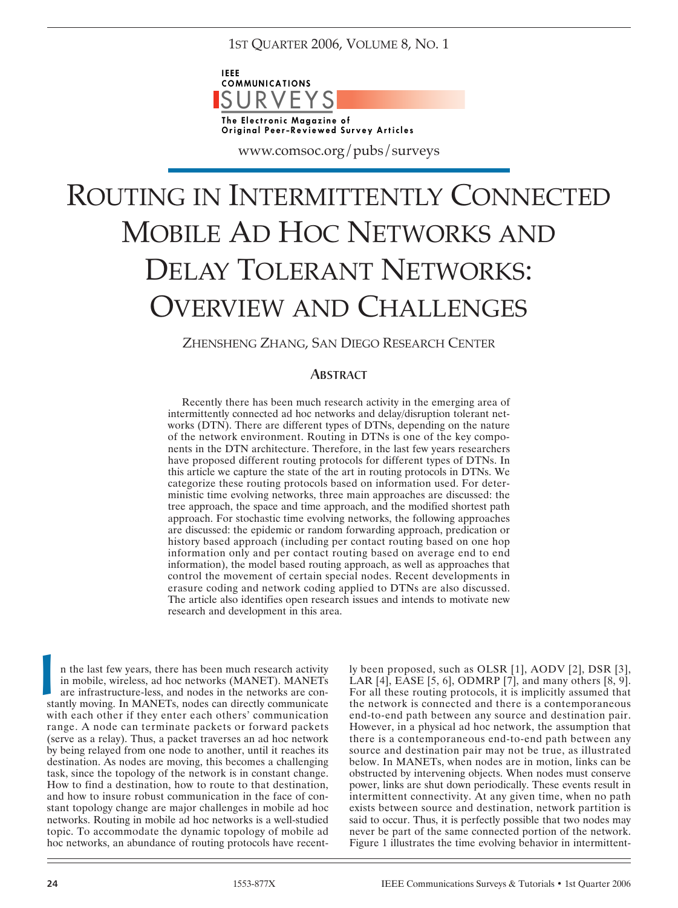1ST QUARTER 2006, VOLUME 8, NO. 1



# ROUTING IN INTERMITTENTLY CONNECTED MOBILE AD HOC NETWORKS AND DELAY TOLERANT NETWORKS: OVERVIEW AND CHALLENGES

# ZHENSHENG ZHANG, SAN DIEGO RESEARCH CENTER

## **ABSTRACT**

Recently there has been much research activity in the emerging area of intermittently connected ad hoc networks and delay/disruption tolerant networks (DTN). There are different types of DTNs, depending on the nature of the network environment. Routing in DTNs is one of the key components in the DTN architecture. Therefore, in the last few years researchers have proposed different routing protocols for different types of DTNs. In this article we capture the state of the art in routing protocols in DTNs. We categorize these routing protocols based on information used. For deterministic time evolving networks, three main approaches are discussed: the tree approach, the space and time approach, and the modified shortest path approach. For stochastic time evolving networks, the following approaches are discussed: the epidemic or random forwarding approach, predication or history based approach (including per contact routing based on one hop information only and per contact routing based on average end to end information), the model based routing approach, as well as approaches that control the movement of certain special nodes. Recent developments in erasure coding and network coding applied to DTNs are also discussed. The article also identifies open research issues and intends to motivate new research and development in this area.

n the last few years, there has been much research activity in mobile, wireless, ad hoc networks (MANET). MANETs are infrastructure-less, and nodes in the networks are con-In the last few years, there has been much research activity<br>in mobile, wireless, ad hoc networks (MANET). MANETs<br>are infrastructure-less, and nodes in the networks are con-<br>stantly moving. In MANETs, nodes can directly co with each other if they enter each others' communication range. A node can terminate packets or forward packets (serve as a relay). Thus, a packet traverses an ad hoc network by being relayed from one node to another, until it reaches its destination. As nodes are moving, this becomes a challenging task, since the topology of the network is in constant change. How to find a destination, how to route to that destination, and how to insure robust communication in the face of constant topology change are major challenges in mobile ad hoc networks. Routing in mobile ad hoc networks is a well-studied topic. To accommodate the dynamic topology of mobile ad hoc networks, an abundance of routing protocols have recent-

ly been proposed, such as OLSR [1], AODV [2], DSR [3], LAR  $[4]$ , EASE  $[5, 6]$ , ODMRP  $[7]$ , and many others  $[8, 9]$ . For all these routing protocols, it is implicitly assumed that the network is connected and there is a contemporaneous end-to-end path between any source and destination pair. However, in a physical ad hoc network, the assumption that there is a contemporaneous end-to-end path between any source and destination pair may not be true, as illustrated below. In MANETs, when nodes are in motion, links can be obstructed by intervening objects. When nodes must conserve power, links are shut down periodically. These events result in intermittent connectivity. At any given time, when no path exists between source and destination, network partition is said to occur. Thus, it is perfectly possible that two nodes may never be part of the same connected portion of the network. Figure 1 illustrates the time evolving behavior in intermittent-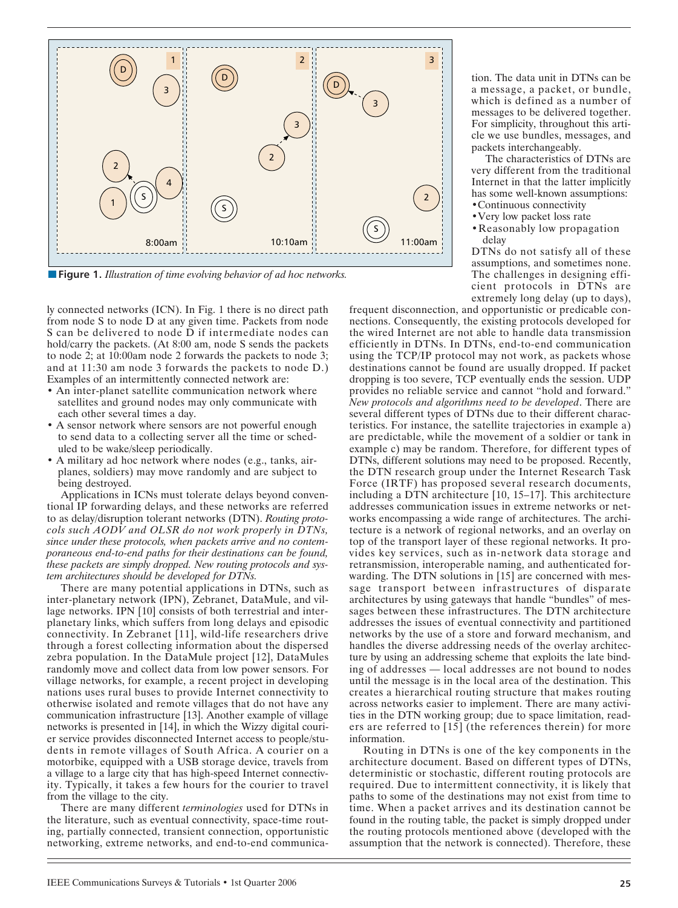

■ **Figure 1.** *Illustration of time evolving behavior of ad hoc networks.* 

ly connected networks (ICN). In Fig. 1 there is no direct path from node S to node D at any given time. Packets from node S can be delivered to node D if intermediate nodes can hold/carry the packets. (At 8:00 am, node S sends the packets to node 2; at 10:00am node 2 forwards the packets to node 3; and at 11:30 am node 3 forwards the packets to node D.) Examples of an intermittently connected network are:

- An inter-planet satellite communication network where satellites and ground nodes may only communicate with each other several times a day.
- A sensor network where sensors are not powerful enough to send data to a collecting server all the time or scheduled to be wake/sleep periodically.
- A military ad hoc network where nodes (e.g., tanks, airplanes, soldiers) may move randomly and are subject to being destroyed.

Applications in ICNs must tolerate delays beyond conventional IP forwarding delays, and these networks are referred to as delay/disruption tolerant networks (DTN). *Routing protocols such AODV and OLSR do not work properly in DTNs, since under these protocols, when packets arrive and no contemporaneous end-to-end paths for their destinations can be found, these packets are simply dropped. New routing protocols and system architectures should be developed for DTNs.*

There are many potential applications in DTNs, such as inter-planetary network (IPN), Zebranet, DataMule, and village networks. IPN [10] consists of both terrestrial and interplanetary links, which suffers from long delays and episodic connectivity. In Zebranet [11], wild-life researchers drive through a forest collecting information about the dispersed zebra population. In the DataMule project [12], DataMules randomly move and collect data from low power sensors. For village networks, for example, a recent project in developing nations uses rural buses to provide Internet connectivity to otherwise isolated and remote villages that do not have any communication infrastructure [13]. Another example of village networks is presented in [14], in which the Wizzy digital courier service provides disconnected Internet access to people/students in remote villages of South Africa. A courier on a motorbike, equipped with a USB storage device, travels from a village to a large city that has high-speed Internet connectivity. Typically, it takes a few hours for the courier to travel from the village to the city.

There are many different *terminologies* used for DTNs in the literature, such as eventual connectivity, space-time routing, partially connected, transient connection, opportunistic networking, extreme networks, and end-to-end communica-

tion. The data unit in DTNs can be a message, a packet, or bundle, which is defined as a number of messages to be delivered together. For simplicity, throughout this article we use bundles, messages, and packets interchangeably.

The characteristics of DTNs are very different from the traditional Internet in that the latter implicitly has some well-known assumptions: •Continuous connectivity

- •Very low packet loss rate
- •Reasonably low propagation delay

DTNs do not satisfy all of these assumptions, and sometimes none. The challenges in designing efficient protocols in DTNs are extremely long delay (up to days),

frequent disconnection, and opportunistic or predicable connections. Consequently, the existing protocols developed for the wired Internet are not able to handle data transmission efficiently in DTNs. In DTNs, end-to-end communication using the TCP/IP protocol may not work, as packets whose destinations cannot be found are usually dropped. If packet dropping is too severe, TCP eventually ends the session. UDP provides no reliable service and cannot "hold and forward." *New protocols and algorithms need to be developed*. There are several different types of DTNs due to their different characteristics. For instance, the satellite trajectories in example a) are predictable, while the movement of a soldier or tank in example c) may be random. Therefore, for different types of DTNs, different solutions may need to be proposed. Recently, the DTN research group under the Internet Research Task Force (IRTF) has proposed several research documents, including a DTN architecture [10, 15–17]. This architecture addresses communication issues in extreme networks or networks encompassing a wide range of architectures. The architecture is a network of regional networks, and an overlay on top of the transport layer of these regional networks. It provides key services, such as in-network data storage and retransmission, interoperable naming, and authenticated forwarding. The DTN solutions in [15] are concerned with message transport between infrastructures of disparate architectures by using gateways that handle "bundles" of messages between these infrastructures. The DTN architecture addresses the issues of eventual connectivity and partitioned networks by the use of a store and forward mechanism, and handles the diverse addressing needs of the overlay architecture by using an addressing scheme that exploits the late binding of addresses — local addresses are not bound to nodes until the message is in the local area of the destination. This creates a hierarchical routing structure that makes routing across networks easier to implement. There are many activities in the DTN working group; due to space limitation, readers are referred to [15] (the references therein) for more information.

Routing in DTNs is one of the key components in the architecture document. Based on different types of DTNs, deterministic or stochastic, different routing protocols are required. Due to intermittent connectivity, it is likely that paths to some of the destinations may not exist from time to time. When a packet arrives and its destination cannot be found in the routing table, the packet is simply dropped under the routing protocols mentioned above (developed with the assumption that the network is connected). Therefore, these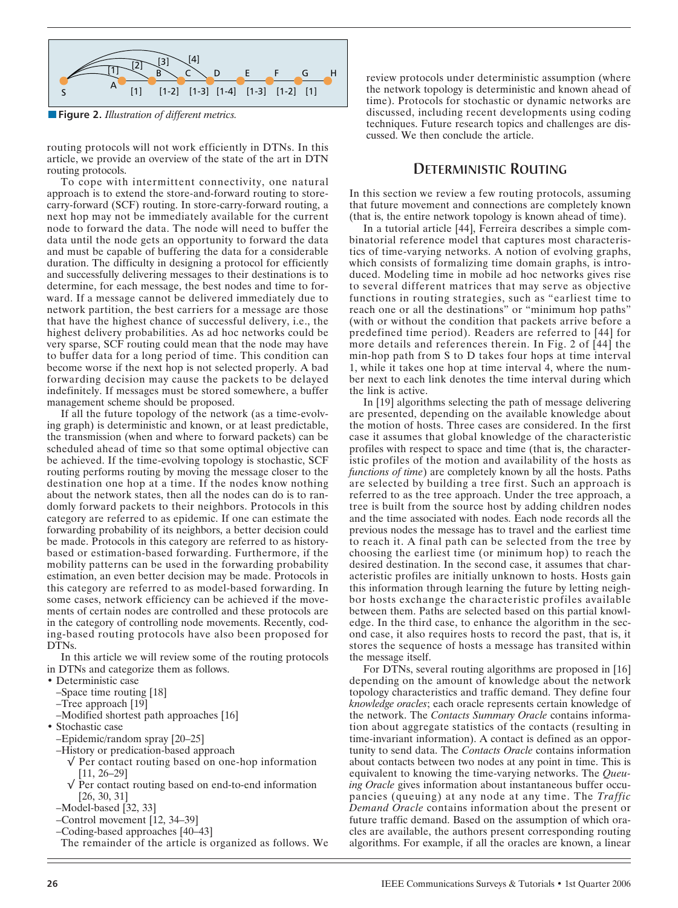

■ **Figure 2.** *Illustration of different metrics.* 

routing protocols will not work efficiently in DTNs. In this article, we provide an overview of the state of the art in DTN routing protocols.

To cope with intermittent connectivity, one natural approach is to extend the store-and-forward routing to storecarry-forward (SCF) routing. In store-carry-forward routing, a next hop may not be immediately available for the current node to forward the data. The node will need to buffer the data until the node gets an opportunity to forward the data and must be capable of buffering the data for a considerable duration. The difficulty in designing a protocol for efficiently and successfully delivering messages to their destinations is to determine, for each message, the best nodes and time to forward. If a message cannot be delivered immediately due to network partition, the best carriers for a message are those that have the highest chance of successful delivery, i.e., the highest delivery probabilities. As ad hoc networks could be very sparse, SCF routing could mean that the node may have to buffer data for a long period of time. This condition can become worse if the next hop is not selected properly. A bad forwarding decision may cause the packets to be delayed indefinitely. If messages must be stored somewhere, a buffer management scheme should be proposed.

If all the future topology of the network (as a time-evolving graph) is deterministic and known, or at least predictable, the transmission (when and where to forward packets) can be scheduled ahead of time so that some optimal objective can be achieved. If the time-evolving topology is stochastic, SCF routing performs routing by moving the message closer to the destination one hop at a time. If the nodes know nothing about the network states, then all the nodes can do is to randomly forward packets to their neighbors. Protocols in this category are referred to as epidemic. If one can estimate the forwarding probability of its neighbors, a better decision could be made. Protocols in this category are referred to as historybased or estimation-based forwarding. Furthermore, if the mobility patterns can be used in the forwarding probability estimation, an even better decision may be made. Protocols in this category are referred to as model-based forwarding. In some cases, network efficiency can be achieved if the movements of certain nodes are controlled and these protocols are in the category of controlling node movements. Recently, coding-based routing protocols have also been proposed for DTNs.

In this article we will review some of the routing protocols in DTNs and categorize them as follows.

- Deterministic case
	- –Space time routing [18]
	- –Tree approach [19]
	- –Modified shortest path approaches [16]
- Stochastic case
	- –Epidemic/random spray [20–25]
	- –History or predication-based approach
		- √ Per contact routing based on one-hop information [11, 26–29]
		- √ Per contact routing based on end-to-end information [26, 30, 31]
	- –Model-based [32, 33]
	- –Control movement [12, 34–39]
	- –Coding-based approaches [40–43]

The remainder of the article is organized as follows. We

review protocols under deterministic assumption (where the network topology is deterministic and known ahead of time). Protocols for stochastic or dynamic networks are discussed, including recent developments using coding techniques. Future research topics and challenges are discussed. We then conclude the article.

# **DETERMINISTIC ROUTING**

In this section we review a few routing protocols, assuming that future movement and connections are completely known (that is, the entire network topology is known ahead of time).

In a tutorial article [44], Ferreira describes a simple combinatorial reference model that captures most characteristics of time-varying networks. A notion of evolving graphs, which consists of formalizing time domain graphs, is introduced. Modeling time in mobile ad hoc networks gives rise to several different matrices that may serve as objective functions in routing strategies, such as "earliest time to reach one or all the destinations" or "minimum hop paths" (with or without the condition that packets arrive before a predefined time period). Readers are referred to [44] for more details and references therein. In Fig. 2 of [44] the min-hop path from S to D takes four hops at time interval 1, while it takes one hop at time interval 4, where the number next to each link denotes the time interval during which the link is active.

In [19] algorithms selecting the path of message delivering are presented, depending on the available knowledge about the motion of hosts. Three cases are considered. In the first case it assumes that global knowledge of the characteristic profiles with respect to space and time (that is, the characteristic profiles of the motion and availability of the hosts as *functions of time*) are completely known by all the hosts. Paths are selected by building a tree first. Such an approach is referred to as the tree approach. Under the tree approach, a tree is built from the source host by adding children nodes and the time associated with nodes. Each node records all the previous nodes the message has to travel and the earliest time to reach it. A final path can be selected from the tree by choosing the earliest time (or minimum hop) to reach the desired destination. In the second case, it assumes that characteristic profiles are initially unknown to hosts. Hosts gain this information through learning the future by letting neighbor hosts exchange the characteristic profiles available between them. Paths are selected based on this partial knowledge. In the third case, to enhance the algorithm in the second case, it also requires hosts to record the past, that is, it stores the sequence of hosts a message has transited within the message itself.

For DTNs, several routing algorithms are proposed in [16] depending on the amount of knowledge about the network topology characteristics and traffic demand. They define four *knowledge oracles*; each oracle represents certain knowledge of the network. The *Contacts Summary Oracle* contains information about aggregate statistics of the contacts (resulting in time-invariant information). A contact is defined as an opportunity to send data. The *Contacts Oracle* contains information about contacts between two nodes at any point in time. This is equivalent to knowing the time-varying networks. The *Queuing Oracle* gives information about instantaneous buffer occupancies (queuing) at any node at any time. The *Traffic Demand Oracle* contains information about the present or future traffic demand. Based on the assumption of which oracles are available, the authors present corresponding routing algorithms. For example, if all the oracles are known, a linear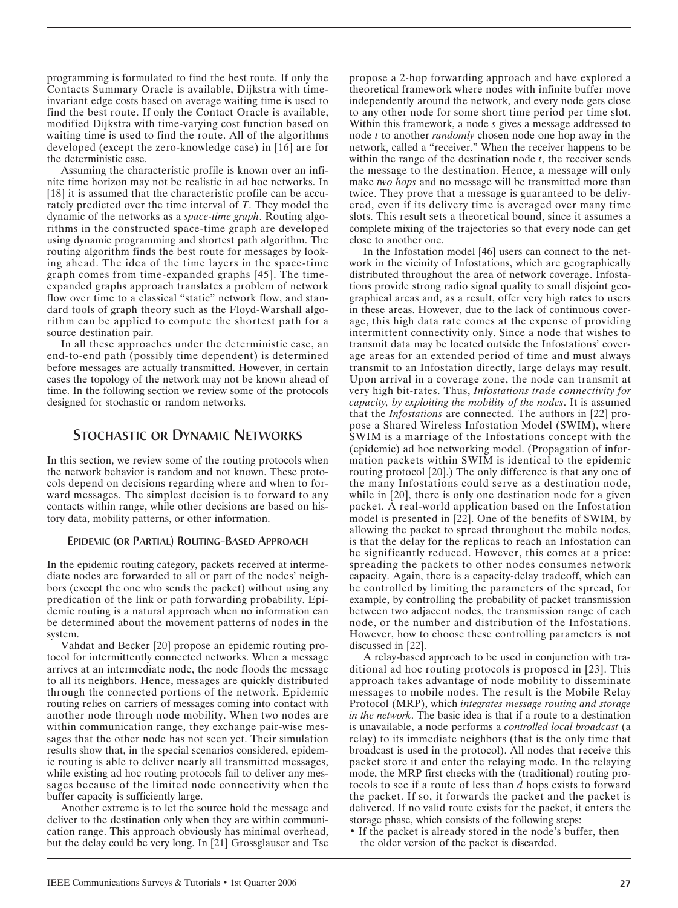programming is formulated to find the best route. If only the Contacts Summary Oracle is available, Dijkstra with timeinvariant edge costs based on average waiting time is used to find the best route. If only the Contact Oracle is available, modified Dijkstra with time-varying cost function based on waiting time is used to find the route. All of the algorithms developed (except the zero-knowledge case) in [16] are for the deterministic case.

Assuming the characteristic profile is known over an infinite time horizon may not be realistic in ad hoc networks. In [18] it is assumed that the characteristic profile can be accurately predicted over the time interval of *T*. They model the dynamic of the networks as a *space-time graph*. Routing algorithms in the constructed space-time graph are developed using dynamic programming and shortest path algorithm. The routing algorithm finds the best route for messages by looking ahead. The idea of the time layers in the space-time graph comes from time-expanded graphs [45]. The timeexpanded graphs approach translates a problem of network flow over time to a classical "static" network flow, and standard tools of graph theory such as the Floyd-Warshall algorithm can be applied to compute the shortest path for a source destination pair.

In all these approaches under the deterministic case, an end-to-end path (possibly time dependent) is determined before messages are actually transmitted. However, in certain cases the topology of the network may not be known ahead of time. In the following section we review some of the protocols designed for stochastic or random networks.

# **STOCHASTIC OR DYNAMIC NETWORKS**

In this section, we review some of the routing protocols when the network behavior is random and not known. These protocols depend on decisions regarding where and when to forward messages. The simplest decision is to forward to any contacts within range, while other decisions are based on history data, mobility patterns, or other information.

#### **EPIDEMIC (OR PARTIAL) ROUTING-BASED APPROACH**

In the epidemic routing category, packets received at intermediate nodes are forwarded to all or part of the nodes' neighbors (except the one who sends the packet) without using any predication of the link or path forwarding probability. Epidemic routing is a natural approach when no information can be determined about the movement patterns of nodes in the system.

Vahdat and Becker [20] propose an epidemic routing protocol for intermittently connected networks. When a message arrives at an intermediate node, the node floods the message to all its neighbors. Hence, messages are quickly distributed through the connected portions of the network. Epidemic routing relies on carriers of messages coming into contact with another node through node mobility. When two nodes are within communication range, they exchange pair-wise messages that the other node has not seen yet. Their simulation results show that, in the special scenarios considered, epidemic routing is able to deliver nearly all transmitted messages, while existing ad hoc routing protocols fail to deliver any messages because of the limited node connectivity when the buffer capacity is sufficiently large.

Another extreme is to let the source hold the message and deliver to the destination only when they are within communication range. This approach obviously has minimal overhead, but the delay could be very long. In [21] Grossglauser and Tse

propose a 2-hop forwarding approach and have explored a theoretical framework where nodes with infinite buffer move independently around the network, and every node gets close to any other node for some short time period per time slot. Within this framework, a node *s* gives a message addressed to node *t* to another *randomly* chosen node one hop away in the network, called a "receiver." When the receiver happens to be within the range of the destination node *t*, the receiver sends the message to the destination. Hence, a message will only make *two hops* and no message will be transmitted more than twice. They prove that a message is guaranteed to be delivered, even if its delivery time is averaged over many time slots. This result sets a theoretical bound, since it assumes a complete mixing of the trajectories so that every node can get close to another one.

In the Infostation model [46] users can connect to the network in the vicinity of Infostations, which are geographically distributed throughout the area of network coverage. Infostations provide strong radio signal quality to small disjoint geographical areas and, as a result, offer very high rates to users in these areas. However, due to the lack of continuous coverage, this high data rate comes at the expense of providing intermittent connectivity only. Since a node that wishes to transmit data may be located outside the Infostations' coverage areas for an extended period of time and must always transmit to an Infostation directly, large delays may result. Upon arrival in a coverage zone, the node can transmit at very high bit-rates. Thus, *Infostations trade connectivity for capacity, by exploiting the mobility of the nodes*. It is assumed that the *Infostations* are connected. The authors in [22] propose a Shared Wireless Infostation Model (SWIM), where SWIM is a marriage of the Infostations concept with the (epidemic) ad hoc networking model. (Propagation of information packets within SWIM is identical to the epidemic routing protocol [20].) The only difference is that any one of the many Infostations could serve as a destination node, while in [20], there is only one destination node for a given packet. A real-world application based on the Infostation model is presented in [22]. One of the benefits of SWIM, by allowing the packet to spread throughout the mobile nodes, is that the delay for the replicas to reach an Infostation can be significantly reduced. However, this comes at a price: spreading the packets to other nodes consumes network capacity. Again, there is a capacity-delay tradeoff, which can be controlled by limiting the parameters of the spread, for example, by controlling the probability of packet transmission between two adjacent nodes, the transmission range of each node, or the number and distribution of the Infostations. However, how to choose these controlling parameters is not discussed in [22].

A relay-based approach to be used in conjunction with traditional ad hoc routing protocols is proposed in [23]. This approach takes advantage of node mobility to disseminate messages to mobile nodes. The result is the Mobile Relay Protocol (MRP), which *integrates message routing and storage in the network*. The basic idea is that if a route to a destination is unavailable, a node performs a *controlled local broadcast* (a relay) to its immediate neighbors (that is the only time that broadcast is used in the protocol). All nodes that receive this packet store it and enter the relaying mode. In the relaying mode, the MRP first checks with the (traditional) routing protocols to see if a route of less than *d* hops exists to forward the packet. If so, it forwards the packet and the packet is delivered. If no valid route exists for the packet, it enters the storage phase, which consists of the following steps:

• If the packet is already stored in the node's buffer, then the older version of the packet is discarded.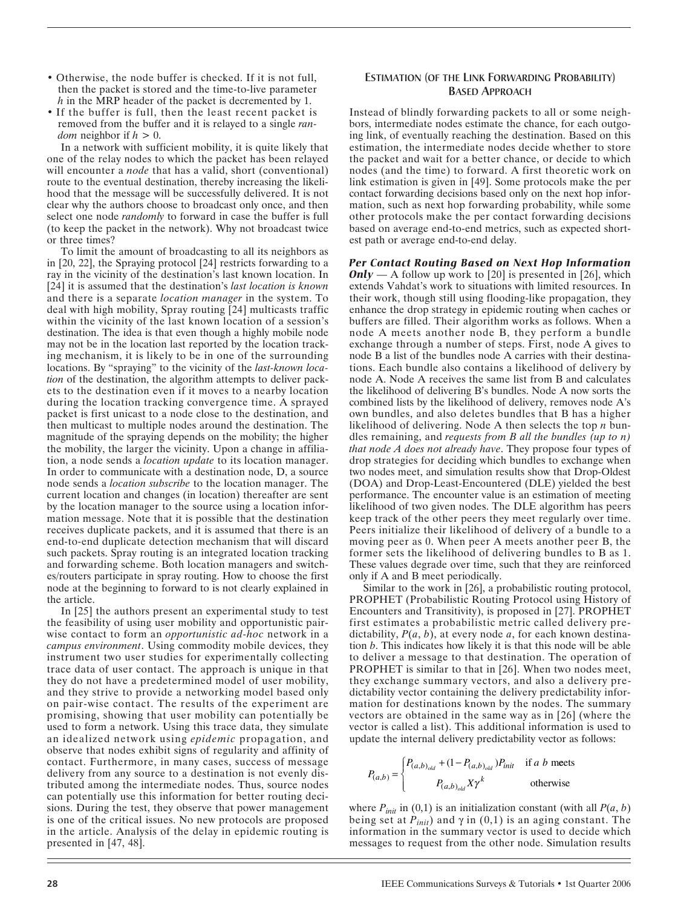- Otherwise, the node buffer is checked. If it is not full, then the packet is stored and the time-to-live parameter *h* in the MRP header of the packet is decremented by 1.
- If the buffer is full, then the least recent packet is removed from the buffer and it is relayed to a single *random* neighbor if  $h > 0$ .

In a network with sufficient mobility, it is quite likely that one of the relay nodes to which the packet has been relayed will encounter a *node* that has a valid, short (conventional) route to the eventual destination, thereby increasing the likelihood that the message will be successfully delivered. It is not clear why the authors choose to broadcast only once, and then select one node *randomly* to forward in case the buffer is full (to keep the packet in the network). Why not broadcast twice or three times?

To limit the amount of broadcasting to all its neighbors as in [20, 22], the Spraying protocol [24] restricts forwarding to a ray in the vicinity of the destination's last known location. In [24] it is assumed that the destination's *last location is known* and there is a separate *location manager* in the system. To deal with high mobility, Spray routing [24] multicasts traffic within the vicinity of the last known location of a session's destination. The idea is that even though a highly mobile node may not be in the location last reported by the location tracking mechanism, it is likely to be in one of the surrounding locations. By "spraying" to the vicinity of the *last-known location* of the destination, the algorithm attempts to deliver packets to the destination even if it moves to a nearby location during the location tracking convergence time. A sprayed packet is first unicast to a node close to the destination, and then multicast to multiple nodes around the destination. The magnitude of the spraying depends on the mobility; the higher the mobility, the larger the vicinity. Upon a change in affiliation, a node sends a *location update* to its location manager. In order to communicate with a destination node, D, a source node sends a *location subscribe* to the location manager. The current location and changes (in location) thereafter are sent by the location manager to the source using a location information message. Note that it is possible that the destination receives duplicate packets, and it is assumed that there is an end-to-end duplicate detection mechanism that will discard such packets. Spray routing is an integrated location tracking and forwarding scheme. Both location managers and switches/routers participate in spray routing. How to choose the first node at the beginning to forward to is not clearly explained in the article.

In [25] the authors present an experimental study to test the feasibility of using user mobility and opportunistic pairwise contact to form an *opportunistic ad-hoc* network in a *campus environment*. Using commodity mobile devices, they instrument two user studies for experimentally collecting trace data of user contact. The approach is unique in that they do not have a predetermined model of user mobility, and they strive to provide a networking model based only on pair-wise contact. The results of the experiment are promising, showing that user mobility can potentially be used to form a network. Using this trace data, they simulate an idealized network using *epidemic* propagation, and observe that nodes exhibit signs of regularity and affinity of contact. Furthermore, in many cases, success of message delivery from any source to a destination is not evenly distributed among the intermediate nodes. Thus, source nodes can potentially use this information for better routing decisions. During the test, they observe that power management is one of the critical issues. No new protocols are proposed in the article. Analysis of the delay in epidemic routing is presented in [47, 48].

### **ESTIMATION (OF THE LINK FORWARDING PROBABILITY) BASED APPROACH**

Instead of blindly forwarding packets to all or some neighbors, intermediate nodes estimate the chance, for each outgoing link, of eventually reaching the destination. Based on this estimation, the intermediate nodes decide whether to store the packet and wait for a better chance, or decide to which nodes (and the time) to forward. A first theoretic work on link estimation is given in [49]. Some protocols make the per contact forwarding decisions based only on the next hop information, such as next hop forwarding probability, while some other protocols make the per contact forwarding decisions based on average end-to-end metrics, such as expected shortest path or average end-to-end delay.

*Per Contact Routing Based on Next Hop Information Only* — A follow up work to [20] is presented in [26], which extends Vahdat's work to situations with limited resources. In their work, though still using flooding-like propagation, they enhance the drop strategy in epidemic routing when caches or buffers are filled. Their algorithm works as follows. When a node A meets another node B, they perform a bundle exchange through a number of steps. First, node A gives to node B a list of the bundles node A carries with their destinations. Each bundle also contains a likelihood of delivery by node A. Node A receives the same list from B and calculates the likelihood of delivering B's bundles. Node A now sorts the combined lists by the likelihood of delivery, removes node A's own bundles, and also deletes bundles that B has a higher likelihood of delivering. Node A then selects the top *n* bundles remaining, and *requests from B all the bundles (up to n) that node A does not already have*. They propose four types of drop strategies for deciding which bundles to exchange when two nodes meet, and simulation results show that Drop-Oldest (DOA) and Drop-Least-Encountered (DLE) yielded the best performance. The encounter value is an estimation of meeting likelihood of two given nodes. The DLE algorithm has peers keep track of the other peers they meet regularly over time. Peers initialize their likelihood of delivery of a bundle to a moving peer as 0. When peer A meets another peer B, the former sets the likelihood of delivering bundles to B as 1. These values degrade over time, such that they are reinforced only if A and B meet periodically.

Similar to the work in [26], a probabilistic routing protocol, PROPHET (Probabilistic Routing Protocol using History of Encounters and Transitivity), is proposed in [27]. PROPHET first estimates a probabilistic metric called delivery predictability, *P*(*a*, *b*), at every node *a*, for each known destination *b*. This indicates how likely it is that this node will be able to deliver a message to that destination. The operation of PROPHET is similar to that in [26]. When two nodes meet, they exchange summary vectors, and also a delivery predictability vector containing the delivery predictability information for destinations known by the nodes. The summary vectors are obtained in the same way as in [26] (where the vector is called a list). This additional information is used to update the internal delivery predictability vector as follows:

$$
P_{(a,b)} = \begin{cases} P_{(a,b)_{old}} + (1 - P_{(a,b)_{old}}) P_{init} & \text{if } a \text{ } b \text{ meets} \\ P_{(a,b)_{old}} X \gamma^k & \text{otherwise} \end{cases}
$$

where  $P_{init}$  in (0,1) is an initialization constant (with all  $P(a, b)$ ) being set at  $P_{init}$ ) and  $\gamma$  in (0,1) is an aging constant. The information in the summary vector is used to decide which messages to request from the other node. Simulation results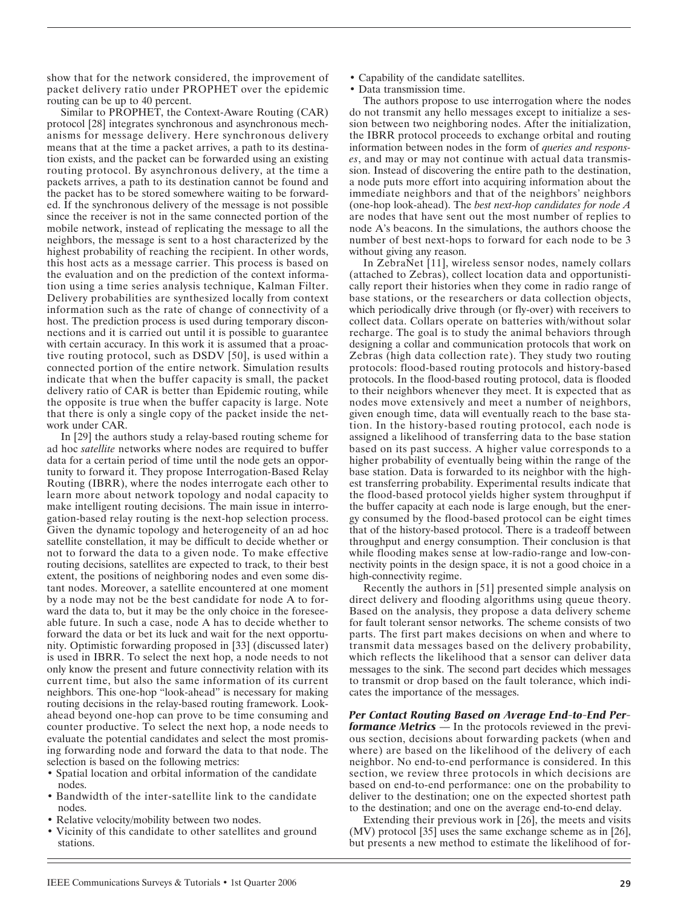show that for the network considered, the improvement of packet delivery ratio under PROPHET over the epidemic routing can be up to 40 percent.

Similar to PROPHET, the Context-Aware Routing (CAR) protocol [28] integrates synchronous and asynchronous mechanisms for message delivery. Here synchronous delivery means that at the time a packet arrives, a path to its destination exists, and the packet can be forwarded using an existing routing protocol. By asynchronous delivery, at the time a packets arrives, a path to its destination cannot be found and the packet has to be stored somewhere waiting to be forwarded. If the synchronous delivery of the message is not possible since the receiver is not in the same connected portion of the mobile network, instead of replicating the message to all the neighbors, the message is sent to a host characterized by the highest probability of reaching the recipient. In other words, this host acts as a message carrier. This process is based on the evaluation and on the prediction of the context information using a time series analysis technique, Kalman Filter. Delivery probabilities are synthesized locally from context information such as the rate of change of connectivity of a host. The prediction process is used during temporary disconnections and it is carried out until it is possible to guarantee with certain accuracy. In this work it is assumed that a proactive routing protocol, such as DSDV [50], is used within a connected portion of the entire network. Simulation results indicate that when the buffer capacity is small, the packet delivery ratio of CAR is better than Epidemic routing, while the opposite is true when the buffer capacity is large. Note that there is only a single copy of the packet inside the network under CAR.

In [29] the authors study a relay-based routing scheme for ad hoc *satellite* networks where nodes are required to buffer data for a certain period of time until the node gets an opportunity to forward it. They propose Interrogation-Based Relay Routing (IBRR), where the nodes interrogate each other to learn more about network topology and nodal capacity to make intelligent routing decisions. The main issue in interrogation-based relay routing is the next-hop selection process. Given the dynamic topology and heterogeneity of an ad hoc satellite constellation, it may be difficult to decide whether or not to forward the data to a given node. To make effective routing decisions, satellites are expected to track, to their best extent, the positions of neighboring nodes and even some distant nodes. Moreover, a satellite encountered at one moment by a node may not be the best candidate for node A to forward the data to, but it may be the only choice in the foreseeable future. In such a case, node A has to decide whether to forward the data or bet its luck and wait for the next opportunity. Optimistic forwarding proposed in [33] (discussed later) is used in IBRR. To select the next hop, a node needs to not only know the present and future connectivity relation with its current time, but also the same information of its current neighbors. This one-hop "look-ahead" is necessary for making routing decisions in the relay-based routing framework. Lookahead beyond one-hop can prove to be time consuming and counter productive. To select the next hop, a node needs to evaluate the potential candidates and select the most promising forwarding node and forward the data to that node. The selection is based on the following metrics:

- Spatial location and orbital information of the candidate nodes.
- Bandwidth of the inter-satellite link to the candidate nodes.
- Relative velocity/mobility between two nodes.
- Vicinity of this candidate to other satellites and ground stations.
- Capability of the candidate satellites.
- Data transmission time.

The authors propose to use interrogation where the nodes do not transmit any hello messages except to initialize a session between two neighboring nodes. After the initialization, the IBRR protocol proceeds to exchange orbital and routing information between nodes in the form of *queries and responses*, and may or may not continue with actual data transmission. Instead of discovering the entire path to the destination, a node puts more effort into acquiring information about the immediate neighbors and that of the neighbors' neighbors (one-hop look-ahead). The *best next-hop candidates for node A* are nodes that have sent out the most number of replies to node A's beacons. In the simulations, the authors choose the number of best next-hops to forward for each node to be 3 without giving any reason.

In ZebraNet [11], wireless sensor nodes, namely collars (attached to Zebras), collect location data and opportunistically report their histories when they come in radio range of base stations, or the researchers or data collection objects, which periodically drive through (or fly-over) with receivers to collect data. Collars operate on batteries with/without solar recharge. The goal is to study the animal behaviors through designing a collar and communication protocols that work on Zebras (high data collection rate). They study two routing protocols: flood-based routing protocols and history-based protocols. In the flood-based routing protocol, data is flooded to their neighbors whenever they meet. It is expected that as nodes move extensively and meet a number of neighbors, given enough time, data will eventually reach to the base station. In the history-based routing protocol, each node is assigned a likelihood of transferring data to the base station based on its past success. A higher value corresponds to a higher probability of eventually being within the range of the base station. Data is forwarded to its neighbor with the highest transferring probability. Experimental results indicate that the flood-based protocol yields higher system throughput if the buffer capacity at each node is large enough, but the energy consumed by the flood-based protocol can be eight times that of the history-based protocol. There is a tradeoff between throughput and energy consumption. Their conclusion is that while flooding makes sense at low-radio-range and low-connectivity points in the design space, it is not a good choice in a high-connectivity regime.

Recently the authors in [51] presented simple analysis on direct delivery and flooding algorithms using queue theory. Based on the analysis, they propose a data delivery scheme for fault tolerant sensor networks. The scheme consists of two parts. The first part makes decisions on when and where to transmit data messages based on the delivery probability, which reflects the likelihood that a sensor can deliver data messages to the sink. The second part decides which messages to transmit or drop based on the fault tolerance, which indicates the importance of the messages.

*Per Contact Routing Based on Average End-to-End Performance Metrics* — In the protocols reviewed in the previous section, decisions about forwarding packets (when and where) are based on the likelihood of the delivery of each neighbor. No end-to-end performance is considered. In this section, we review three protocols in which decisions are based on end-to-end performance: one on the probability to deliver to the destination; one on the expected shortest path to the destination; and one on the average end-to-end delay.

Extending their previous work in [26], the meets and visits (MV) protocol [35] uses the same exchange scheme as in [26], but presents a new method to estimate the likelihood of for-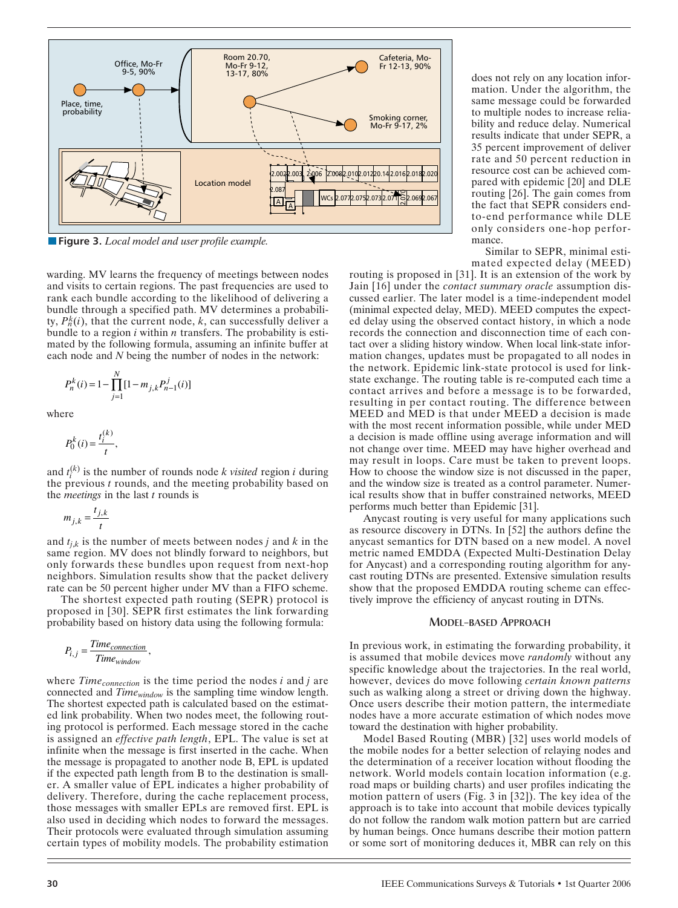

■ **Figure 3.** *Local model and user profile example.* 

warding. MV learns the frequency of meetings between nodes and visits to certain regions. The past frequencies are used to rank each bundle according to the likelihood of delivering a bundle through a specified path. MV determines a probability,  $P_n^k(i)$ , that the current node,  $k$ , can successfully deliver a bundle to a region *i* within *n* transfers. The probability is estimated by the following formula, assuming an infinite buffer at each node and *N* being the number of nodes in the network:

$$
P_n^k(i) = 1 - \prod_{j=1}^N [1 - m_{j,k} P_{n-1}^j(i)]
$$

where

$$
P_0^k(i) = \frac{t_i^{(k)}}{t},
$$

and  $t_i^{(k)}$  is the number of rounds node *k* visited region *i* during the previous *t* rounds, and the meeting probability based on the *meetings* in the last *t* rounds is

$$
m_{j,k} = \frac{t_{j,k}}{t}
$$

and  $t_{i,k}$  is the number of meets between nodes *j* and *k* in the same region. MV does not blindly forward to neighbors, but only forwards these bundles upon request from next-hop neighbors. Simulation results show that the packet delivery rate can be 50 percent higher under MV than a FIFO scheme.

The shortest expected path routing (SEPR) protocol is proposed in [30]. SEPR first estimates the link forwarding probability based on history data using the following formula:

$$
P_{i,j} = \frac{Time_{connection}}{Time_{window}},
$$

where *Timeconnection* is the time period the nodes *i* and *j* are connected and *Timewindow* is the sampling time window length. The shortest expected path is calculated based on the estimated link probability. When two nodes meet, the following routing protocol is performed. Each message stored in the cache is assigned an *effective path length*, EPL. The value is set at infinite when the message is first inserted in the cache. When the message is propagated to another node B, EPL is updated if the expected path length from B to the destination is smaller. A smaller value of EPL indicates a higher probability of delivery. Therefore, during the cache replacement process, those messages with smaller EPLs are removed first. EPL is also used in deciding which nodes to forward the messages. Their protocols were evaluated through simulation assuming certain types of mobility models. The probability estimation

does not rely on any location information. Under the algorithm, the same message could be forwarded to multiple nodes to increase reliability and reduce delay. Numerical results indicate that under SEPR, a 35 percent improvement of deliver rate and 50 percent reduction in resource cost can be achieved compared with epidemic [20] and DLE routing [26]. The gain comes from the fact that SEPR considers endto-end performance while DLE only considers one-hop performance.

Similar to SEPR, minimal estimated expected delay (MEED)

routing is proposed in [31]. It is an extension of the work by Jain [16] under the *contact summary oracle* assumption discussed earlier. The later model is a time-independent model (minimal expected delay, MED). MEED computes the expected delay using the observed contact history, in which a node records the connection and disconnection time of each contact over a sliding history window. When local link-state information changes, updates must be propagated to all nodes in the network. Epidemic link-state protocol is used for linkstate exchange. The routing table is re-computed each time a contact arrives and before a message is to be forwarded, resulting in per contact routing. The difference between MEED and MED is that under MEED a decision is made with the most recent information possible, while under MED a decision is made offline using average information and will not change over time. MEED may have higher overhead and may result in loops. Care must be taken to prevent loops. How to choose the window size is not discussed in the paper, and the window size is treated as a control parameter. Numerical results show that in buffer constrained networks, MEED performs much better than Epidemic [31].

Anycast routing is very useful for many applications such as resource discovery in DTNs. In [52] the authors define the anycast semantics for DTN based on a new model. A novel metric named EMDDA (Expected Multi-Destination Delay for Anycast) and a corresponding routing algorithm for anycast routing DTNs are presented. Extensive simulation results show that the proposed EMDDA routing scheme can effectively improve the efficiency of anycast routing in DTNs.

#### **MODEL-BASED APPROACH**

In previous work, in estimating the forwarding probability, it is assumed that mobile devices move *randomly* without any specific knowledge about the trajectories. In the real world, however, devices do move following *certain known patterns* such as walking along a street or driving down the highway. Once users describe their motion pattern, the intermediate nodes have a more accurate estimation of which nodes move toward the destination with higher probability.

Model Based Routing (MBR) [32] uses world models of the mobile nodes for a better selection of relaying nodes and the determination of a receiver location without flooding the network. World models contain location information (e.g. road maps or building charts) and user profiles indicating the motion pattern of users (Fig. 3 in [32]). The key idea of the approach is to take into account that mobile devices typically do not follow the random walk motion pattern but are carried by human beings. Once humans describe their motion pattern or some sort of monitoring deduces it, MBR can rely on this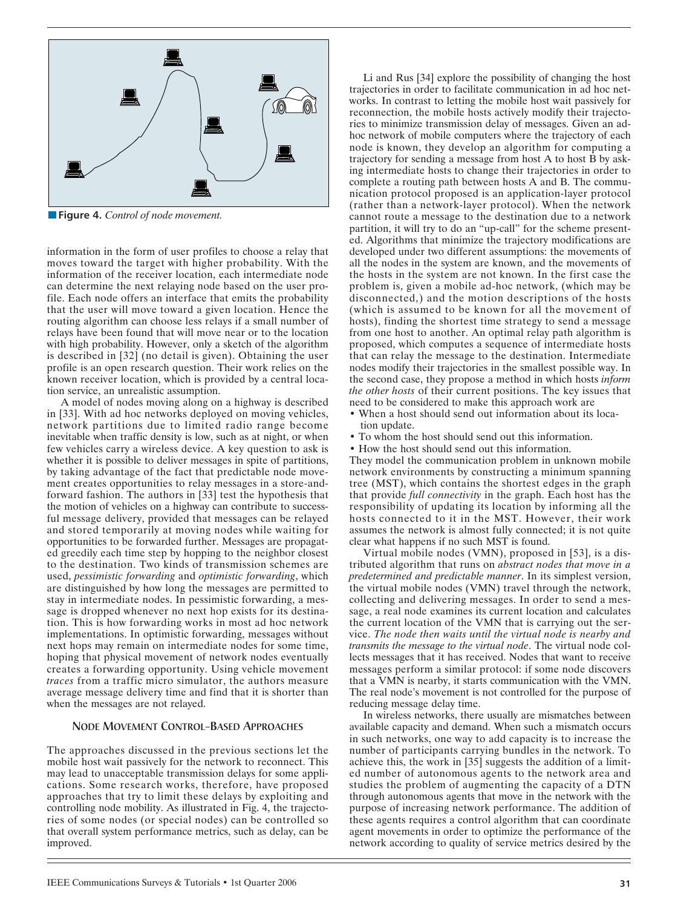

■ **Figure 4.** *Control of node movement.* 

information in the form of user profiles to choose a relay that moves toward the target with higher probability. With the information of the receiver location, each intermediate node can determine the next relaying node based on the user profile. Each node offers an interface that emits the probability that the user will move toward a given location. Hence the routing algorithm can choose less relays if a small number of relays have been found that will move near or to the location with high probability. However, only a sketch of the algorithm is described in [32] (no detail is given). Obtaining the user profile is an open research question. Their work relies on the known receiver location, which is provided by a central location service, an unrealistic assumption.

A model of nodes moving along on a highway is described in [33]. With ad hoc networks deployed on moving vehicles, network partitions due to limited radio range become inevitable when traffic density is low, such as at night, or when few vehicles carry a wireless device. A key question to ask is whether it is possible to deliver messages in spite of partitions, by taking advantage of the fact that predictable node movement creates opportunities to relay messages in a store-andforward fashion. The authors in [33] test the hypothesis that the motion of vehicles on a highway can contribute to successful message delivery, provided that messages can be relayed and stored temporarily at moving nodes while waiting for opportunities to be forwarded further. Messages are propagated greedily each time step by hopping to the neighbor closest to the destination. Two kinds of transmission schemes are used, *pessimistic forwarding* and *optimistic forwarding*, which are distinguished by how long the messages are permitted to stay in intermediate nodes. In pessimistic forwarding, a message is dropped whenever no next hop exists for its destination. This is how forwarding works in most ad hoc network implementations. In optimistic forwarding, messages without next hops may remain on intermediate nodes for some time, hoping that physical movement of network nodes eventually creates a forwarding opportunity. Using vehicle movement *traces* from a traffic micro simulator, the authors measure average message delivery time and find that it is shorter than when the messages are not relayed.

#### **NODE MOVEMENT CONTROL-BASED APPROACHES**

The approaches discussed in the previous sections let the mobile host wait passively for the network to reconnect. This may lead to unacceptable transmission delays for some applications. Some research works, therefore, have proposed approaches that try to limit these delays by exploiting and controlling node mobility. As illustrated in Fig. 4, the trajectories of some nodes (or special nodes) can be controlled so that overall system performance metrics, such as delay, can be improved.

Li and Rus [34] explore the possibility of changing the host trajectories in order to facilitate communication in ad hoc networks. In contrast to letting the mobile host wait passively for reconnection, the mobile hosts actively modify their trajectories to minimize transmission delay of messages. Given an adhoc network of mobile computers where the trajectory of each node is known, they develop an algorithm for computing a trajectory for sending a message from host A to host B by asking intermediate hosts to change their trajectories in order to complete a routing path between hosts A and B. The communication protocol proposed is an application-layer protocol (rather than a network-layer protocol). When the network cannot route a message to the destination due to a network partition, it will try to do an "up-call" for the scheme presented. Algorithms that minimize the trajectory modifications are developed under two different assumptions: the movements of all the nodes in the system are known, and the movements of the hosts in the system are not known. In the first case the problem is, given a mobile ad-hoc network, (which may be disconnected,) and the motion descriptions of the hosts (which is assumed to be known for all the movement of hosts), finding the shortest time strategy to send a message from one host to another. An optimal relay path algorithm is proposed, which computes a sequence of intermediate hosts that can relay the message to the destination. Intermediate nodes modify their trajectories in the smallest possible way. In the second case, they propose a method in which hosts *inform the other hosts* of their current positions. The key issues that need to be considered to make this approach work are

- When a host should send out information about its location update.
- To whom the host should send out this information.
- How the host should send out this information.

They model the communication problem in unknown mobile network environments by constructing a minimum spanning tree (MST), which contains the shortest edges in the graph that provide *full connectivity* in the graph. Each host has the responsibility of updating its location by informing all the hosts connected to it in the MST. However, their work assumes the network is almost fully connected; it is not quite clear what happens if no such MST is found.

Virtual mobile nodes (VMN), proposed in [53], is a distributed algorithm that runs on *abstract nodes that move in a predetermined and predictable manner*. In its simplest version, the virtual mobile nodes (VMN) travel through the network, collecting and delivering messages. In order to send a message, a real node examines its current location and calculates the current location of the VMN that is carrying out the service. *The node then waits until the virtual node is nearby and transmits the message to the virtual node*. The virtual node collects messages that it has received. Nodes that want to receive messages perform a similar protocol: if some node discovers that a VMN is nearby, it starts communication with the VMN. The real node's movement is not controlled for the purpose of reducing message delay time.

In wireless networks, there usually are mismatches between available capacity and demand. When such a mismatch occurs in such networks, one way to add capacity is to increase the number of participants carrying bundles in the network. To achieve this, the work in [35] suggests the addition of a limited number of autonomous agents to the network area and studies the problem of augmenting the capacity of a DTN through autonomous agents that move in the network with the purpose of increasing network performance. The addition of these agents requires a control algorithm that can coordinate agent movements in order to optimize the performance of the network according to quality of service metrics desired by the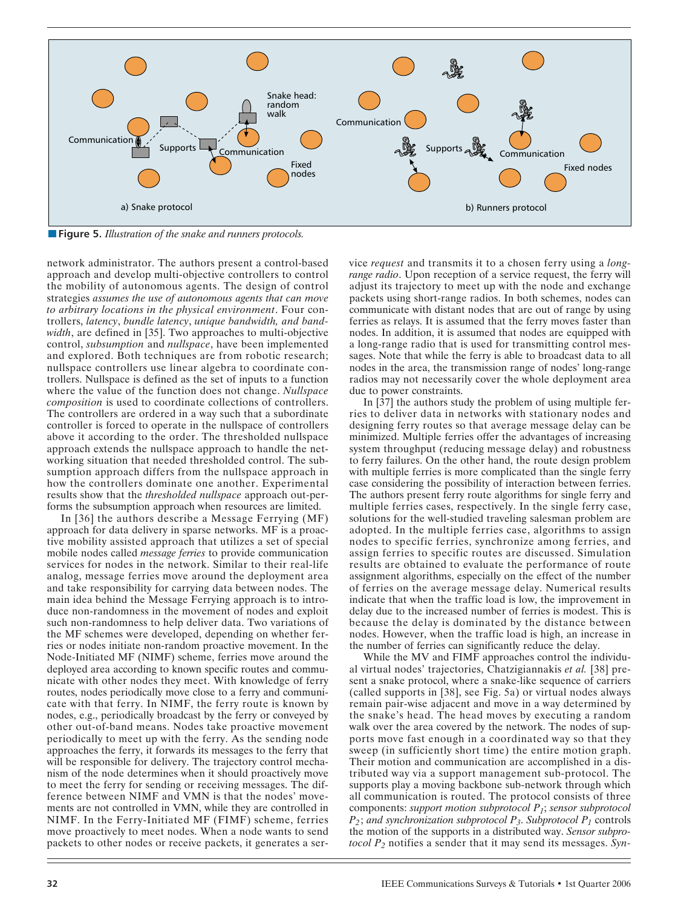

■ **Figure 5.** *Illustration of the snake and runners protocols.* 

network administrator. The authors present a control-based approach and develop multi-objective controllers to control the mobility of autonomous agents. The design of control strategies *assumes the use of autonomous agents that can move to arbitrary locations in the physical environment*. Four controllers, *latency*, *bundle latency*, *unique bandwidth, and bandwidth*, are defined in [35]. Two approaches to multi-objective control, *subsumption* and *nullspace*, have been implemented and explored. Both techniques are from robotic research; nullspace controllers use linear algebra to coordinate controllers. Nullspace is defined as the set of inputs to a function where the value of the function does not change. *Nullspace composition* is used to coordinate collections of controllers. The controllers are ordered in a way such that a subordinate controller is forced to operate in the nullspace of controllers above it according to the order. The thresholded nullspace approach extends the nullspace approach to handle the networking situation that needed thresholded control. The subsumption approach differs from the nullspace approach in how the controllers dominate one another. Experimental results show that the *thresholded nullspace* approach out-performs the subsumption approach when resources are limited.

In [36] the authors describe a Message Ferrying (MF) approach for data delivery in sparse networks. MF is a proactive mobility assisted approach that utilizes a set of special mobile nodes called *message ferries* to provide communication services for nodes in the network. Similar to their real-life analog, message ferries move around the deployment area and take responsibility for carrying data between nodes. The main idea behind the Message Ferrying approach is to introduce non-randomness in the movement of nodes and exploit such non-randomness to help deliver data. Two variations of the MF schemes were developed, depending on whether ferries or nodes initiate non-random proactive movement. In the Node-Initiated MF (NIMF) scheme, ferries move around the deployed area according to known specific routes and communicate with other nodes they meet. With knowledge of ferry routes, nodes periodically move close to a ferry and communicate with that ferry. In NIMF, the ferry route is known by nodes, e.g., periodically broadcast by the ferry or conveyed by other out-of-band means. Nodes take proactive movement periodically to meet up with the ferry. As the sending node approaches the ferry, it forwards its messages to the ferry that will be responsible for delivery. The trajectory control mechanism of the node determines when it should proactively move to meet the ferry for sending or receiving messages. The difference between NIMF and VMN is that the nodes' movements are not controlled in VMN, while they are controlled in NIMF. In the Ferry-Initiated MF (FIMF) scheme, ferries move proactively to meet nodes. When a node wants to send packets to other nodes or receive packets, it generates a service *request* and transmits it to a chosen ferry using a *longrange radio*. Upon reception of a service request, the ferry will adjust its trajectory to meet up with the node and exchange packets using short-range radios. In both schemes, nodes can communicate with distant nodes that are out of range by using ferries as relays. It is assumed that the ferry moves faster than nodes. In addition, it is assumed that nodes are equipped with a long-range radio that is used for transmitting control messages. Note that while the ferry is able to broadcast data to all nodes in the area, the transmission range of nodes' long-range radios may not necessarily cover the whole deployment area due to power constraints.

In [37] the authors study the problem of using multiple ferries to deliver data in networks with stationary nodes and designing ferry routes so that average message delay can be minimized. Multiple ferries offer the advantages of increasing system throughput (reducing message delay) and robustness to ferry failures. On the other hand, the route design problem with multiple ferries is more complicated than the single ferry case considering the possibility of interaction between ferries. The authors present ferry route algorithms for single ferry and multiple ferries cases, respectively. In the single ferry case, solutions for the well-studied traveling salesman problem are adopted. In the multiple ferries case, algorithms to assign nodes to specific ferries, synchronize among ferries, and assign ferries to specific routes are discussed. Simulation results are obtained to evaluate the performance of route assignment algorithms, especially on the effect of the number of ferries on the average message delay. Numerical results indicate that when the traffic load is low, the improvement in delay due to the increased number of ferries is modest. This is because the delay is dominated by the distance between nodes. However, when the traffic load is high, an increase in the number of ferries can significantly reduce the delay.

While the MV and FIMF approaches control the individual virtual nodes' trajectories, Chatzigiannakis *et al.* [38] present a snake protocol, where a snake-like sequence of carriers (called supports in [38], see Fig. 5a) or virtual nodes always remain pair-wise adjacent and move in a way determined by the snake's head. The head moves by executing a random walk over the area covered by the network. The nodes of supports move fast enough in a coordinated way so that they sweep (in sufficiently short time) the entire motion graph. Their motion and communication are accomplished in a distributed way via a support management sub-protocol. The supports play a moving backbone sub-network through which all communication is routed. The protocol consists of three components: *support motion subprotocol P1*; *sensor subprotocol P2* ; *and synchronization subprotocol P3*. *Subprotocol P1* controls the motion of the supports in a distributed way. *Sensor subprotocol P2* notifies a sender that it may send its messages. *Syn-*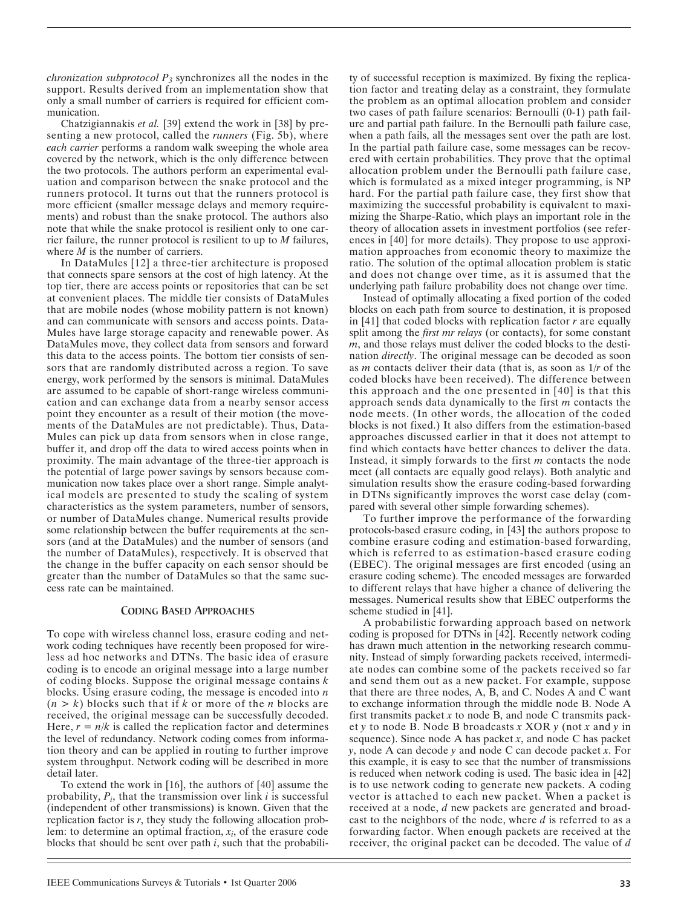*chronization subprotocol P3* synchronizes all the nodes in the support. Results derived from an implementation show that only a small number of carriers is required for efficient communication.

Chatzigiannakis *et al.* [39] extend the work in [38] by presenting a new protocol, called the *runners* (Fig. 5b), where *each carrier* performs a random walk sweeping the whole area covered by the network, which is the only difference between the two protocols. The authors perform an experimental evaluation and comparison between the snake protocol and the runners protocol. It turns out that the runners protocol is more efficient (smaller message delays and memory requirements) and robust than the snake protocol. The authors also note that while the snake protocol is resilient only to one carrier failure, the runner protocol is resilient to up to *M* failures, where *M* is the number of carriers.

In DataMules [12] a three-tier architecture is proposed that connects spare sensors at the cost of high latency. At the top tier, there are access points or repositories that can be set at convenient places. The middle tier consists of DataMules that are mobile nodes (whose mobility pattern is not known) and can communicate with sensors and access points. Data-Mules have large storage capacity and renewable power. As DataMules move, they collect data from sensors and forward this data to the access points. The bottom tier consists of sensors that are randomly distributed across a region. To save energy, work performed by the sensors is minimal. DataMules are assumed to be capable of short-range wireless communication and can exchange data from a nearby sensor access point they encounter as a result of their motion (the movements of the DataMules are not predictable). Thus, Data-Mules can pick up data from sensors when in close range, buffer it, and drop off the data to wired access points when in proximity. The main advantage of the three-tier approach is the potential of large power savings by sensors because communication now takes place over a short range. Simple analytical models are presented to study the scaling of system characteristics as the system parameters, number of sensors, or number of DataMules change. Numerical results provide some relationship between the buffer requirements at the sensors (and at the DataMules) and the number of sensors (and the number of DataMules), respectively. It is observed that the change in the buffer capacity on each sensor should be greater than the number of DataMules so that the same success rate can be maintained.

#### **CODING BASED APPROACHES**

To cope with wireless channel loss, erasure coding and network coding techniques have recently been proposed for wireless ad hoc networks and DTNs. The basic idea of erasure coding is to encode an original message into a large number of coding blocks. Suppose the original message contains *k* blocks. Using erasure coding, the message is encoded into *n*  $(n > k)$  blocks such that if *k* or more of the *n* blocks are received, the original message can be successfully decoded. Here,  $r = n/k$  is called the replication factor and determines the level of redundancy. Network coding comes from information theory and can be applied in routing to further improve system throughput. Network coding will be described in more detail later.

To extend the work in [16], the authors of [40] assume the probability,  $P_i$ , that the transmission over link  $i$  is successful (independent of other transmissions) is known. Given that the replication factor is *r*, they study the following allocation problem: to determine an optimal fraction, *xi*, of the erasure code blocks that should be sent over path *i*, such that the probabili-

ty of successful reception is maximized. By fixing the replication factor and treating delay as a constraint, they formulate the problem as an optimal allocation problem and consider two cases of path failure scenarios: Bernoulli (0-1) path failure and partial path failure. In the Bernoulli path failure case, when a path fails, all the messages sent over the path are lost. In the partial path failure case, some messages can be recovered with certain probabilities. They prove that the optimal allocation problem under the Bernoulli path failure case, which is formulated as a mixed integer programming, is NP hard. For the partial path failure case, they first show that maximizing the successful probability is equivalent to maximizing the Sharpe-Ratio, which plays an important role in the theory of allocation assets in investment portfolios (see references in [40] for more details). They propose to use approximation approaches from economic theory to maximize the ratio. The solution of the optimal allocation problem is static and does not change over time, as it is assumed that the underlying path failure probability does not change over time.

Instead of optimally allocating a fixed portion of the coded blocks on each path from source to destination, it is proposed in [41] that coded blocks with replication factor *r* are equally split among the *first mr relays* (or contacts), for some constant *m*, and those relays must deliver the coded blocks to the destination *directly*. The original message can be decoded as soon as *m* contacts deliver their data (that is, as soon as 1/*r* of the coded blocks have been received). The difference between this approach and the one presented in [40] is that this approach sends data dynamically to the first *m* contacts the node meets. (In other words, the allocation of the coded blocks is not fixed.) It also differs from the estimation-based approaches discussed earlier in that it does not attempt to find which contacts have better chances to deliver the data. Instead, it simply forwards to the first *m* contacts the node meet (all contacts are equally good relays). Both analytic and simulation results show the erasure coding-based forwarding in DTNs significantly improves the worst case delay (compared with several other simple forwarding schemes).

To further improve the performance of the forwarding protocols-based erasure coding, in [43] the authors propose to combine erasure coding and estimation-based forwarding, which is referred to as estimation-based erasure coding (EBEC). The original messages are first encoded (using an erasure coding scheme). The encoded messages are forwarded to different relays that have higher a chance of delivering the messages. Numerical results show that EBEC outperforms the scheme studied in [41].

A probabilistic forwarding approach based on network coding is proposed for DTNs in [42]. Recently network coding has drawn much attention in the networking research community. Instead of simply forwarding packets received, intermediate nodes can combine some of the packets received so far and send them out as a new packet. For example, suppose that there are three nodes, A, B, and C. Nodes A and C want to exchange information through the middle node B. Node A first transmits packet *x* to node B, and node C transmits packet *y* to node B. Node B broadcasts *x* XOR *y* (not *x* and *y* in sequence). Since node A has packet *x*, and node C has packet *y*, node A can decode *y* and node C can decode packet *x*. For this example, it is easy to see that the number of transmissions is reduced when network coding is used. The basic idea in [42] is to use network coding to generate new packets. A coding vector is attached to each new packet. When a packet is received at a node, *d* new packets are generated and broadcast to the neighbors of the node, where *d* is referred to as a forwarding factor. When enough packets are received at the receiver, the original packet can be decoded. The value of *d*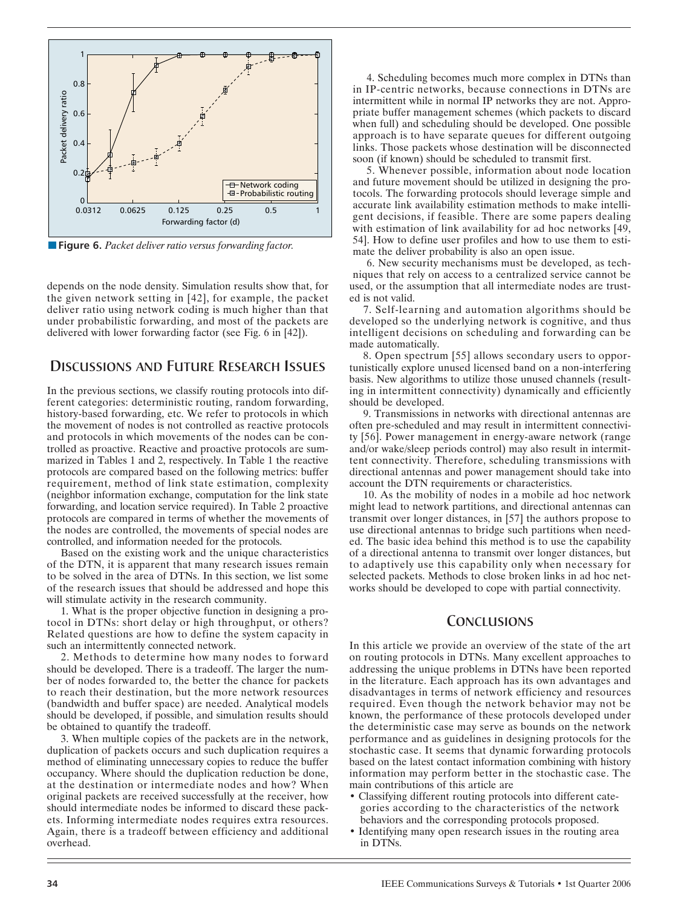

■ **Figure 6.** *Packet deliver ratio versus forwarding factor.* 

depends on the node density. Simulation results show that, for the given network setting in [42], for example, the packet deliver ratio using network coding is much higher than that under probabilistic forwarding, and most of the packets are delivered with lower forwarding factor (see Fig. 6 in [42]).

# **DISCUSSIONS AND FUTURE RESEARCH ISSUES**

In the previous sections, we classify routing protocols into different categories: deterministic routing, random forwarding, history-based forwarding, etc. We refer to protocols in which the movement of nodes is not controlled as reactive protocols and protocols in which movements of the nodes can be controlled as proactive. Reactive and proactive protocols are summarized in Tables 1 and 2, respectively. In Table 1 the reactive protocols are compared based on the following metrics: buffer requirement, method of link state estimation, complexity (neighbor information exchange, computation for the link state forwarding, and location service required). In Table 2 proactive protocols are compared in terms of whether the movements of the nodes are controlled, the movements of special nodes are controlled, and information needed for the protocols.

Based on the existing work and the unique characteristics of the DTN, it is apparent that many research issues remain to be solved in the area of DTNs. In this section, we list some of the research issues that should be addressed and hope this will stimulate activity in the research community.

1. What is the proper objective function in designing a protocol in DTNs: short delay or high throughput, or others? Related questions are how to define the system capacity in such an intermittently connected network.

2. Methods to determine how many nodes to forward should be developed. There is a tradeoff. The larger the number of nodes forwarded to, the better the chance for packets to reach their destination, but the more network resources (bandwidth and buffer space) are needed. Analytical models should be developed, if possible, and simulation results should be obtained to quantify the tradeoff.

3. When multiple copies of the packets are in the network, duplication of packets occurs and such duplication requires a method of eliminating unnecessary copies to reduce the buffer occupancy. Where should the duplication reduction be done, at the destination or intermediate nodes and how? When original packets are received successfully at the receiver, how should intermediate nodes be informed to discard these packets. Informing intermediate nodes requires extra resources. Again, there is a tradeoff between efficiency and additional overhead.

4. Scheduling becomes much more complex in DTNs than in IP-centric networks, because connections in DTNs are intermittent while in normal IP networks they are not. Appropriate buffer management schemes (which packets to discard when full) and scheduling should be developed. One possible approach is to have separate queues for different outgoing links. Those packets whose destination will be disconnected soon (if known) should be scheduled to transmit first.

5. Whenever possible, information about node location and future movement should be utilized in designing the protocols. The forwarding protocols should leverage simple and accurate link availability estimation methods to make intelligent decisions, if feasible. There are some papers dealing with estimation of link availability for ad hoc networks [49, 54]. How to define user profiles and how to use them to estimate the deliver probability is also an open issue.

6. New security mechanisms must be developed, as techniques that rely on access to a centralized service cannot be used, or the assumption that all intermediate nodes are trusted is not valid.

7. Self-learning and automation algorithms should be developed so the underlying network is cognitive, and thus intelligent decisions on scheduling and forwarding can be made automatically.

8. Open spectrum [55] allows secondary users to opportunistically explore unused licensed band on a non-interfering basis. New algorithms to utilize those unused channels (resulting in intermittent connectivity) dynamically and efficiently should be developed.

9. Transmissions in networks with directional antennas are often pre-scheduled and may result in intermittent connectivity [56]. Power management in energy-aware network (range and/or wake/sleep periods control) may also result in intermittent connectivity. Therefore, scheduling transmissions with directional antennas and power management should take into account the DTN requirements or characteristics.

10. As the mobility of nodes in a mobile ad hoc network might lead to network partitions, and directional antennas can transmit over longer distances, in [57] the authors propose to use directional antennas to bridge such partitions when needed. The basic idea behind this method is to use the capability of a directional antenna to transmit over longer distances, but to adaptively use this capability only when necessary for selected packets. Methods to close broken links in ad hoc networks should be developed to cope with partial connectivity.

# **CONCLUSIONS**

In this article we provide an overview of the state of the art on routing protocols in DTNs. Many excellent approaches to addressing the unique problems in DTNs have been reported in the literature. Each approach has its own advantages and disadvantages in terms of network efficiency and resources required. Even though the network behavior may not be known, the performance of these protocols developed under the deterministic case may serve as bounds on the network performance and as guidelines in designing protocols for the stochastic case. It seems that dynamic forwarding protocols based on the latest contact information combining with history information may perform better in the stochastic case. The main contributions of this article are

- Classifying different routing protocols into different categories according to the characteristics of the network behaviors and the corresponding protocols proposed.
- Identifying many open research issues in the routing area in DTNs.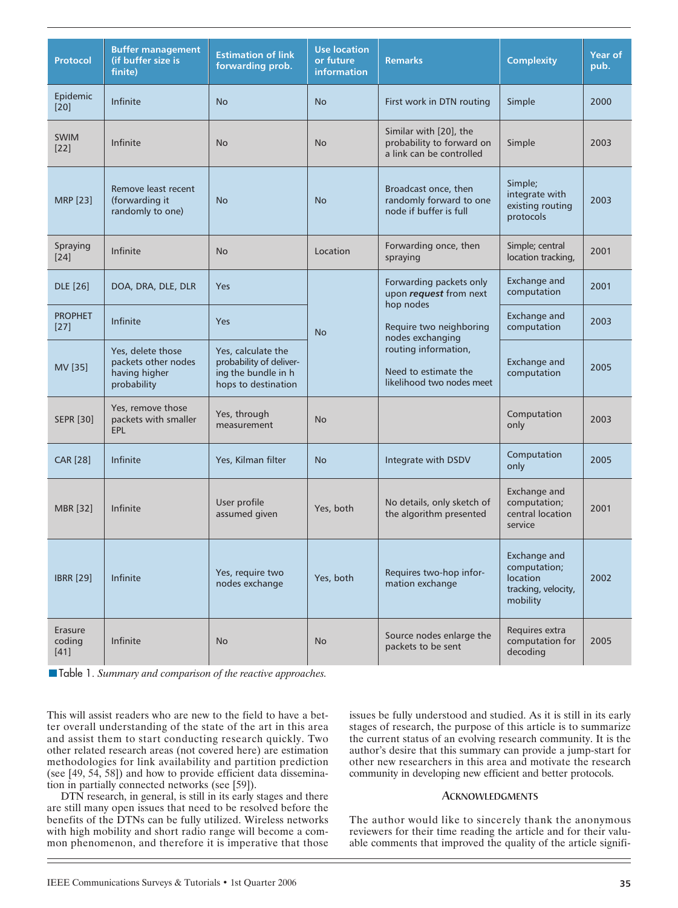| <b>Protocol</b>             | <b>Buffer management</b><br>(if buffer size is<br>finite)                | <b>Estimation of link</b><br>forwarding prob.                                               | <b>Use location</b><br>or future<br>information | <b>Remarks</b>                                                                  | <b>Complexity</b>                                                                  | Year of<br>pub. |
|-----------------------------|--------------------------------------------------------------------------|---------------------------------------------------------------------------------------------|-------------------------------------------------|---------------------------------------------------------------------------------|------------------------------------------------------------------------------------|-----------------|
| Epidemic<br>$[20]$          | Infinite                                                                 | <b>No</b>                                                                                   | <b>No</b>                                       | First work in DTN routing                                                       | Simple                                                                             | 2000            |
| <b>SWIM</b><br>$[22]$       | Infinite                                                                 | <b>No</b>                                                                                   | <b>No</b>                                       | Similar with [20], the<br>probability to forward on<br>a link can be controlled | Simple                                                                             | 2003            |
| <b>MRP</b> [23]             | Remove least recent<br>(forwarding it<br>randomly to one)                | <b>No</b>                                                                                   | <b>No</b>                                       | Broadcast once, then<br>randomly forward to one<br>node if buffer is full       | Simple;<br>integrate with<br>existing routing<br>protocols                         | 2003            |
| Spraying<br>[24]            | Infinite                                                                 | <b>No</b>                                                                                   | Location                                        | Forwarding once, then<br>spraying                                               | Simple; central<br>location tracking,                                              | 2001            |
| DLE [26]                    | DOA, DRA, DLE, DLR                                                       | Yes                                                                                         |                                                 | Forwarding packets only<br>upon request from next<br>hop nodes                  | <b>Exchange and</b><br>computation                                                 | 2001            |
| <b>PROPHET</b><br>$[27]$    | Infinite                                                                 | Yes                                                                                         | <b>No</b>                                       | Require two neighboring<br>nodes exchanging                                     | <b>Exchange and</b><br>computation                                                 | 2003            |
| MV [35]                     | Yes, delete those<br>packets other nodes<br>having higher<br>probability | Yes, calculate the<br>probability of deliver-<br>ing the bundle in h<br>hops to destination |                                                 | routing information,<br>Need to estimate the<br>likelihood two nodes meet       | <b>Exchange and</b><br>computation                                                 | 2005            |
| <b>SEPR [30]</b>            | Yes, remove those<br>packets with smaller<br>EPL                         | Yes, through<br>measurement                                                                 | <b>No</b>                                       |                                                                                 | Computation<br>only                                                                | 2003            |
| <b>CAR [28]</b>             | Infinite                                                                 | Yes, Kilman filter                                                                          | <b>No</b>                                       | Integrate with DSDV                                                             | Computation<br>only                                                                | 2005            |
| <b>MBR [32]</b>             | Infinite                                                                 | User profile<br>assumed given                                                               | Yes, both                                       | No details, only sketch of<br>the algorithm presented                           | Exchange and<br>computation;<br>central location<br>service                        | 2001            |
| <b>IBRR [29]</b>            | Infinite                                                                 | Yes, require two<br>nodes exchange                                                          | Yes, both                                       | Requires two-hop infor-<br>mation exchange                                      | <b>Exchange and</b><br>computation;<br>location<br>tracking, velocity,<br>mobility | 2002            |
| Erasure<br>coding<br>$[41]$ | Infinite                                                                 | <b>No</b>                                                                                   | <b>No</b>                                       | Source nodes enlarge the<br>packets to be sent                                  | Requires extra<br>computation for<br>decoding                                      | 2005            |

|  |  |  | Table 1. Summary and comparison of the reactive approaches |
|--|--|--|------------------------------------------------------------|
|  |  |  |                                                            |

This will assist readers who are new to the field to have a better overall understanding of the state of the art in this area and assist them to start conducting research quickly. Two other related research areas (not covered here) are estimation methodologies for link availability and partition prediction (see [49, 54, 58]) and how to provide efficient data dissemination in partially connected networks (see [59]).

DTN research, in general, is still in its early stages and there are still many open issues that need to be resolved before the benefits of the DTNs can be fully utilized. Wireless networks with high mobility and short radio range will become a common phenomenon, and therefore it is imperative that those

issues be fully understood and studied. As it is still in its early stages of research, the purpose of this article is to summarize the current status of an evolving research community. It is the author's desire that this summary can provide a jump-start for other new researchers in this area and motivate the research community in developing new efficient and better protocols.

#### **ACKNOWLEDGMENTS**

The author would like to sincerely thank the anonymous reviewers for their time reading the article and for their valuable comments that improved the quality of the article signifi-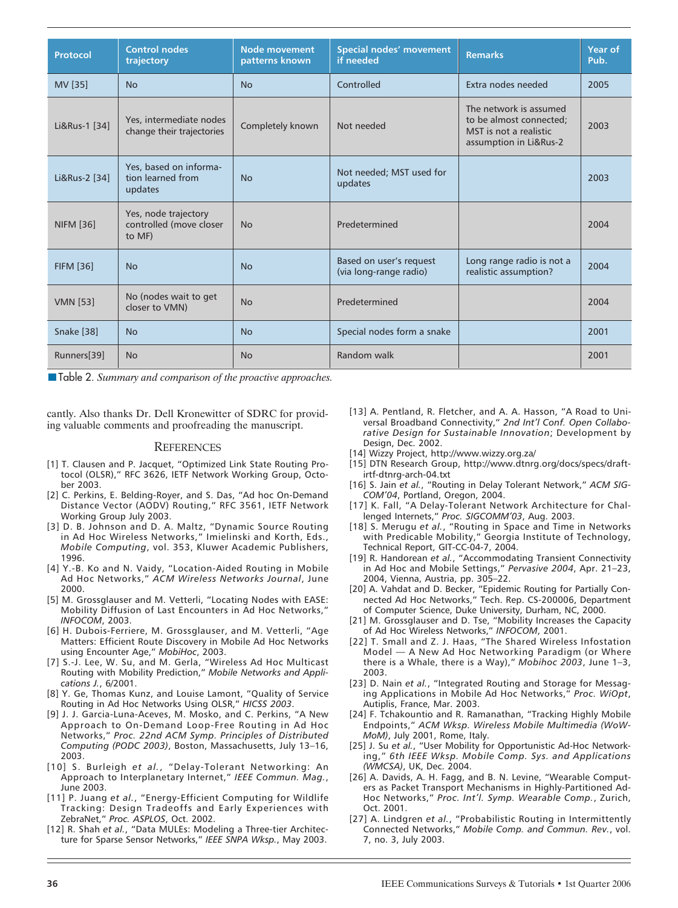| <b>Protocol</b>   | <b>Control nodes</b><br>trajectory                        | <b>Node movement</b><br>patterns known | Special nodes' movement<br>if needed              | <b>Remarks</b>                                                                                        | Year of<br>Pub. |
|-------------------|-----------------------------------------------------------|----------------------------------------|---------------------------------------------------|-------------------------------------------------------------------------------------------------------|-----------------|
| MV [35]           | <b>No</b>                                                 | <b>No</b>                              | Controlled                                        | Extra nodes needed                                                                                    | 2005            |
| Li&Rus-1 [34]     | Yes, intermediate nodes<br>change their trajectories      | Completely known                       | Not needed                                        | The network is assumed<br>to be almost connected:<br>MST is not a realistic<br>assumption in Li&Rus-2 | 2003            |
| Li&Rus-2 [34]     | Yes, based on informa-<br>tion learned from<br>updates    | <b>No</b>                              | Not needed; MST used for<br>updates               |                                                                                                       | 2003            |
| <b>NIFM [36]</b>  | Yes, node trajectory<br>controlled (move closer<br>to MF) | <b>No</b>                              | Predetermined                                     |                                                                                                       | 2004            |
| <b>FIFM [36]</b>  | <b>No</b>                                                 | <b>No</b>                              | Based on user's request<br>(via long-range radio) | Long range radio is not a<br>realistic assumption?                                                    | 2004            |
| <b>VMN [53]</b>   | No (nodes wait to get<br>closer to VMN)                   | <b>No</b>                              | Predetermined                                     |                                                                                                       | 2004            |
| <b>Snake</b> [38] | <b>No</b>                                                 | <b>No</b>                              | Special nodes form a snake                        |                                                                                                       | 2001            |
| Runners[39]       | <b>No</b>                                                 | <b>No</b>                              | Random walk                                       |                                                                                                       | 2001            |

■ **Table 2.** *Summary and comparison of the proactive approaches.* 

cantly. Also thanks Dr. Dell Kronewitter of SDRC for providing valuable comments and proofreading the manuscript.

#### **REFERENCES**

- [1] T. Clausen and P. Jacquet, "Optimized Link State Routing Protocol (OLSR)," RFC 3626, IETF Network Working Group, October 2003.
- [2] C. Perkins, E. Belding-Royer, and S. Das, "Ad hoc On-Demand Distance Vector (AODV) Routing," RFC 3561, IETF Network Working Group July 2003.
- [3] D. B. Johnson and D. A. Maltz, "Dynamic Source Routing in Ad Hoc Wireless Networks," Imielinski and Korth, Eds., *Mobile Computing*, vol. 353, Kluwer Academic Publishers, 1996.
- [4] Y.-B. Ko and N. Vaidy, "Location-Aided Routing in Mobile Ad Hoc Networks," *ACM Wireless Networks Journal*, June 2000.
- [5] M. Grossglauser and M. Vetterli, "Locating Nodes with EASE: Mobility Diffusion of Last Encounters in Ad Hoc Networks," *INFOCOM*, 2003.
- [6] H. Dubois-Ferriere, M. Grossglauser, and M. Vetterli, "Age Matters: Efficient Route Discovery in Mobile Ad Hoc Networks using Encounter Age," *MobiHoc*, 2003.
- [7] S.-J. Lee, W. Su, and M. Gerla, "Wireless Ad Hoc Multicast Routing with Mobility Prediction," *Mobile Networks and Applications J.*, 6/2001.
- [8] Y. Ge, Thomas Kunz, and Louise Lamont, "Quality of Service Routing in Ad Hoc Networks Using OLSR," *HICSS 2003*.
- [9] J. J. Garcia-Luna-Aceves, M. Mosko, and C. Perkins, "A New Approach to On-Demand Loop-Free Routing in Ad Hoc Networks," *Proc. 22nd ACM Symp. Principles of Distributed Computing (PODC 2003)*, Boston, Massachusetts, July 13–16, 2003.
- [10] S. Burleigh *et al.*, "Delay-Tolerant Networking: An Approach to Interplanetary Internet," *IEEE Commun. Mag.*, June 2003.
- [11] P. Juang *et al.*, "Energy-Efficient Computing for Wildlife Tracking: Design Tradeoffs and Early Experiences with ZebraNet," *Proc. ASPLOS*, Oct. 2002.
- [12] R. Shah et al., "Data MULEs: Modeling a Three-tier Architecture for Sparse Sensor Networks," *IEEE SNPA Wksp.*, May 2003.
- [13] A. Pentland, R. Fletcher, and A. A. Hasson, "A Road to Universal Broadband Connectivity," *2nd Int'l Conf. Open Collaborative Design for Sustainable Innovation*; Development by Design, Dec. 2002.
- [14] Wizzy Project, http://www.wizzy.org.za/
- [15] DTN Research Group, http://www.dtnrg.org/docs/specs/draftirtf-dtnrg-arch-04.txt
- [16] S. Jain et al., "Routing in Delay Tolerant Network," ACM SIG-*COM'04*, Portland, Oregon, 2004.
- [17] K. Fall, "A Delay-Tolerant Network Architecture for Challenged Internets," *Proc. SIGCOMM'03*, Aug. 2003.
- [18] S. Merugu *et al.*, "Routing in Space and Time in Networks with Predicable Mobility," Georgia Institute of Technology, Technical Report, GIT-CC-04-7, 2004.
- [19] R. Handorean *et al.*, "Accommodating Transient Connectivity in Ad Hoc and Mobile Settings," *Pervasive 2004*, Apr. 21–23, 2004, Vienna, Austria, pp. 305–22.
- [20] A. Vahdat and D. Becker, "Epidemic Routing for Partially Connected Ad Hoc Networks," Tech. Rep. CS-200006, Department of Computer Science, Duke University, Durham, NC, 2000.
- [21] M. Grossglauser and D. Tse, "Mobility Increases the Capacity of Ad Hoc Wireless Networks," *INFOCOM*, 2001.
- [22] T. Small and Z. J. Haas, "The Shared Wireless Infostation Model — A New Ad Hoc Networking Paradigm (or Where there is a Whale, there is a Way)," *Mobihoc 2003*, June 1–3, 2003.
- [23] D. Nain *et al.*, "Integrated Routing and Storage for Messaging Applications in Mobile Ad Hoc Networks," *Proc. WiOpt*, Autiplis, France, Mar. 2003.
- [24] F. Tchakountio and R. Ramanathan, "Tracking Highly Mobile Endpoints," *ACM Wksp. Wireless Mobile Multimedia (WoW-MoM)*, July 2001, Rome, Italy.
- [25] J. Su *et al.*, "User Mobility for Opportunistic Ad-Hoc Networking," *6th IEEE Wksp. Mobile Comp. Sys. and Applications (WMCSA)*, UK, Dec. 2004.
- [26] A. Davids, A. H. Fagg, and B. N. Levine, "Wearable Computers as Packet Transport Mechanisms in Highly-Partitioned Ad-Hoc Networks," *Proc. Int'l. Symp. Wearable Comp.*, Zurich, Oct. 2001.
- [27] A. Lindgren *et al.*, "Probabilistic Routing in Intermittently Connected Networks," *Mobile Comp. and Commun. Rev.*, vol. 7, no. 3, July 2003.